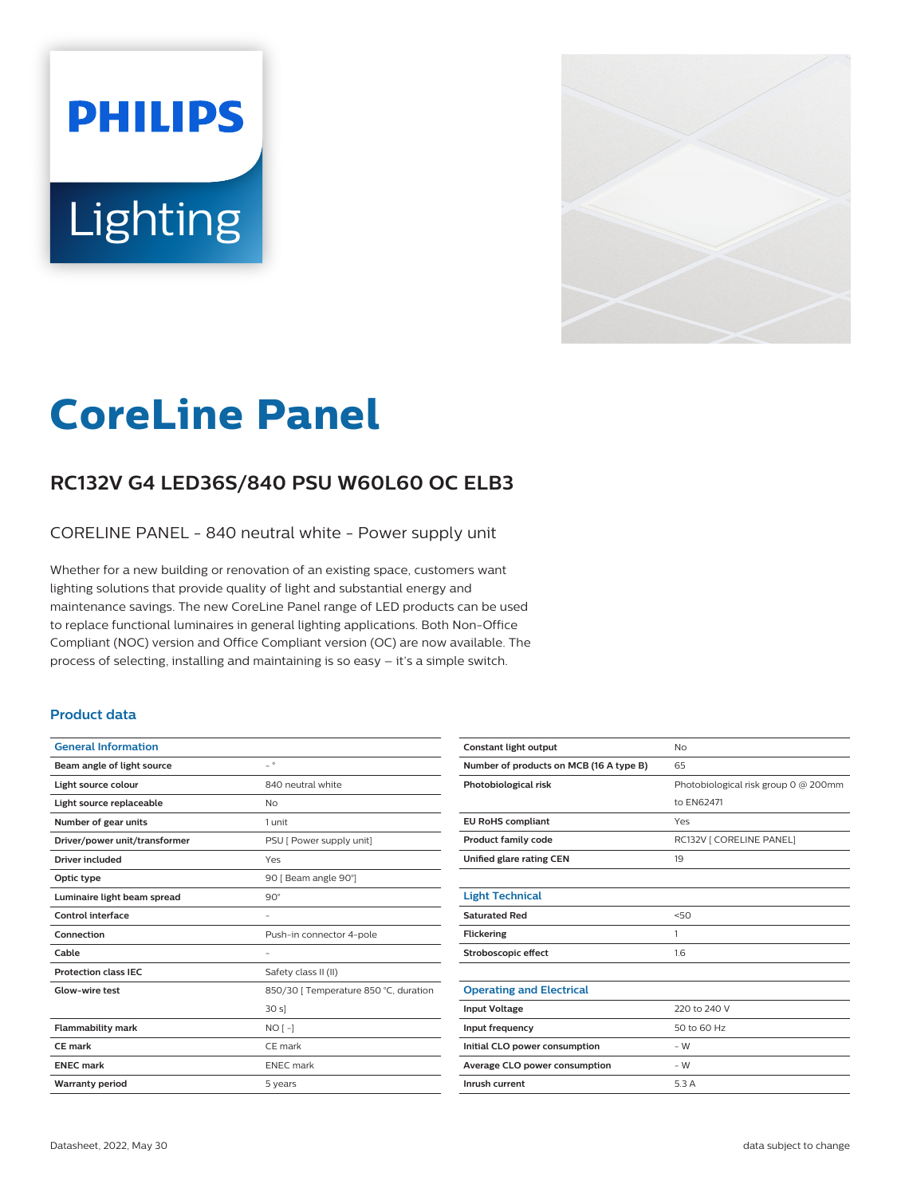# **PHILIPS** Lighting



# **CoreLine Panel**

## **RC132V G4 LED36S/840 PSU W60L60 OC ELB3**

CORELINE PANEL - 840 neutral white - Power supply unit

Whether for a new building or renovation of an existing space, customers want lighting solutions that provide quality of light and substantial energy and maintenance savings. The new CoreLine Panel range of LED products can be used to replace functional luminaires in general lighting applications. Both Non-Office Compliant (NOC) version and Office Compliant version (OC) are now available. The process of selecting, installing and maintaining is so easy – it's a simple switch.

#### **Product data**

| <b>General Information</b>    |                                       |
|-------------------------------|---------------------------------------|
| Beam angle of light source    | $ ^{\circ}$                           |
| Light source colour           | 840 neutral white                     |
| Light source replaceable      | No                                    |
| Number of gear units          | 1 unit                                |
| Driver/power unit/transformer | PSU [ Power supply unit]              |
| Driver included               | Yes                                   |
| Optic type                    | 90 [ Beam angle 90°]                  |
| Luminaire light beam spread   | $90^\circ$                            |
| Control interface             |                                       |
| Connection                    | Push-in connector 4-pole              |
| Cable                         |                                       |
| <b>Protection class IEC</b>   | Safety class II (II)                  |
| Glow-wire test                | 850/30   Temperature 850 °C, duration |
|                               | 30 s                                  |
| <b>Flammability mark</b>      | $NO[-]$                               |
| CE mark                       | CE mark                               |
| <b>ENEC mark</b>              | <b>ENEC</b> mark                      |
| <b>Warranty period</b>        | 5 years                               |
|                               |                                       |

| <b>Constant light output</b>            | No                                   |
|-----------------------------------------|--------------------------------------|
| Number of products on MCB (16 A type B) | 65                                   |
| Photobiological risk                    | Photobiological risk group 0 @ 200mm |
|                                         | to EN62471                           |
| <b>EU RoHS compliant</b>                | Yes                                  |
| <b>Product family code</b>              | RC132V   CORELINE PANEL]             |
| Unified glare rating CEN                | 19                                   |
|                                         |                                      |
| <b>Light Technical</b>                  |                                      |
| <b>Saturated Red</b>                    | 50                                   |
| <b>Flickering</b>                       | 1                                    |
| Stroboscopic effect                     | 1.6                                  |
|                                         |                                      |
| <b>Operating and Electrical</b>         |                                      |
| <b>Input Voltage</b>                    | 220 to 240 V                         |
| Input frequency                         | 50 to 60 Hz                          |
| Initial CLO power consumption           | $-W$                                 |
| Average CLO power consumption           | $-W$                                 |
| Inrush current                          | 5.3A                                 |
|                                         |                                      |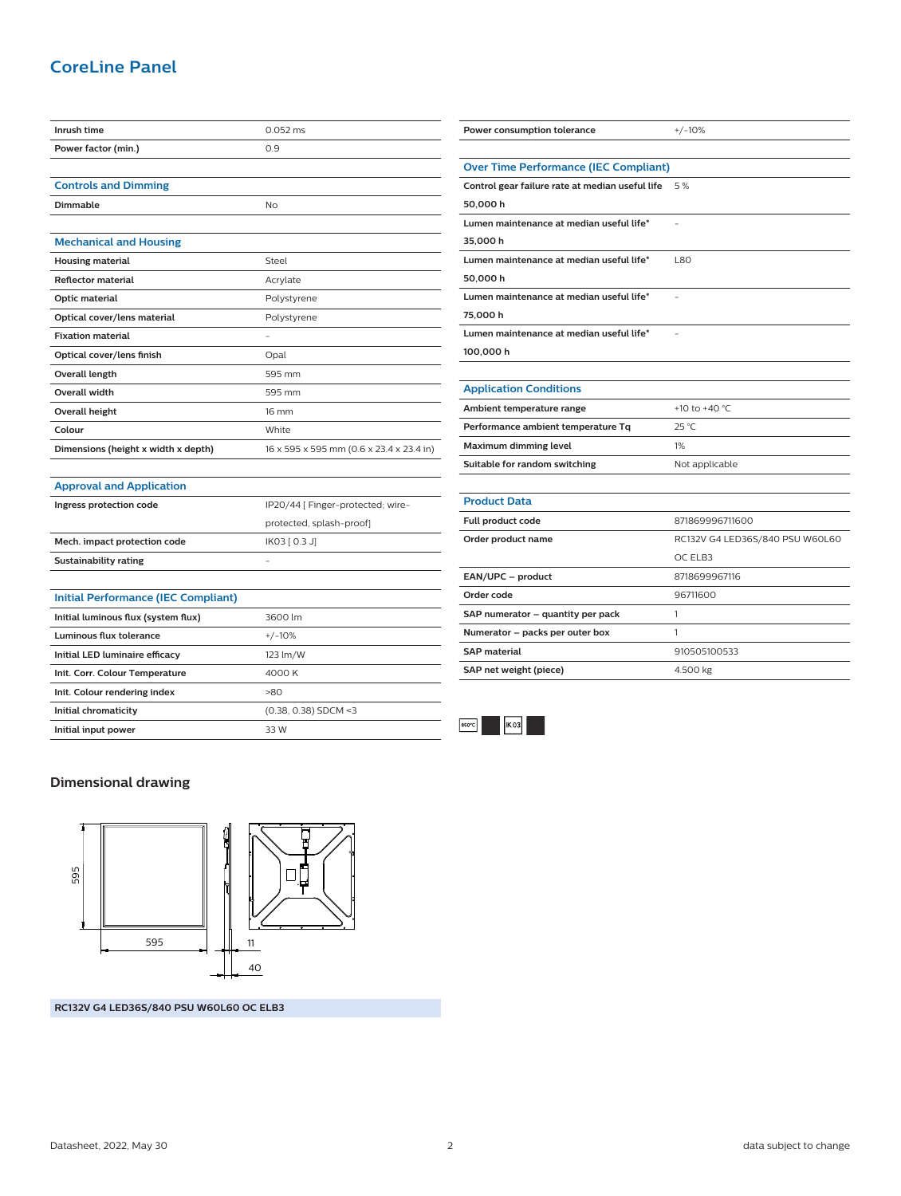### **CoreLine Panel**

| Inrush time                                | 0.052 ms                                 |
|--------------------------------------------|------------------------------------------|
| Power factor (min.)                        | 0.9                                      |
|                                            |                                          |
| <b>Controls and Dimming</b>                |                                          |
| Dimmable                                   | No                                       |
|                                            |                                          |
| <b>Mechanical and Housing</b>              |                                          |
| <b>Housing material</b>                    | Steel                                    |
| <b>Reflector material</b>                  | Acrylate                                 |
| Optic material                             | Polystyrene                              |
| Optical cover/lens material                | Polystyrene                              |
| <b>Fixation material</b>                   |                                          |
| Optical cover/lens finish                  | Opal                                     |
| Overall length                             | 595 mm                                   |
| <b>Overall width</b>                       | 595 mm                                   |
| <b>Overall height</b>                      | 16 mm                                    |
| Colour                                     | White                                    |
| Dimensions (height x width x depth)        | 16 x 595 x 595 mm (0.6 x 23.4 x 23.4 in) |
|                                            |                                          |
| <b>Approval and Application</b>            |                                          |
| Ingress protection code                    | IP20/44 [ Finger-protected; wire-        |
|                                            | protected, splash-proof]                 |
| Mech. impact protection code               | IK03 [ 0.3 J]                            |
| <b>Sustainability rating</b>               |                                          |
|                                            |                                          |
| <b>Initial Performance (IEC Compliant)</b> |                                          |
| Initial luminous flux (system flux)        | 3600 lm                                  |
| <b>Luminous flux tolerance</b>             | $+/-10%$                                 |
| Initial LED luminaire efficacy             | 123 lm/W                                 |
| Init. Corr. Colour Temperature             | 4000 K                                   |
| Init. Colour rendering index               | >80                                      |
| Initial chromaticity                       | (0.38, 0.38) SDCM <3                     |
| Initial input power                        | 33 W                                     |
|                                            |                                          |

| Power consumption tolerance                     | $+/-10%$                        |  |
|-------------------------------------------------|---------------------------------|--|
|                                                 |                                 |  |
| <b>Over Time Performance (IEC Compliant)</b>    |                                 |  |
| Control gear failure rate at median useful life | 5 %                             |  |
| 50,000h                                         |                                 |  |
| Lumen maintenance at median useful life*        |                                 |  |
| 35,000 h                                        |                                 |  |
| Lumen maintenance at median useful life*        | L80                             |  |
| 50,000 h                                        |                                 |  |
| Lumen maintenance at median useful life*        |                                 |  |
| 75,000h                                         |                                 |  |
| Lumen maintenance at median useful life*        | ٠                               |  |
| 100,000 h                                       |                                 |  |
|                                                 |                                 |  |
| <b>Application Conditions</b>                   |                                 |  |
| Ambient temperature range                       | +10 to +40 $°C$                 |  |
| Performance ambient temperature Tq              | 25 °C                           |  |
| Maximum dimming level                           | 1%                              |  |
| Suitable for random switching                   | Not applicable                  |  |
|                                                 |                                 |  |
| <b>Product Data</b>                             |                                 |  |
| Full product code                               | 871869996711600                 |  |
| Order product name                              | RC132V G4 LED36S/840 PSU W60L60 |  |
|                                                 | OC ELB3                         |  |
| EAN/UPC - product                               | 8718699967116                   |  |
| Order code                                      | 96711600                        |  |
| SAP numerator - quantity per pack               | 1                               |  |
| Numerator - packs per outer box                 | 1                               |  |
| <b>SAP</b> material                             | 910505100533                    |  |
| SAP net weight (piece)                          | 4.500 kg                        |  |



#### **Dimensional drawing**



**RC132V G4 LED36S/840 PSU W60L60 OC ELB3**